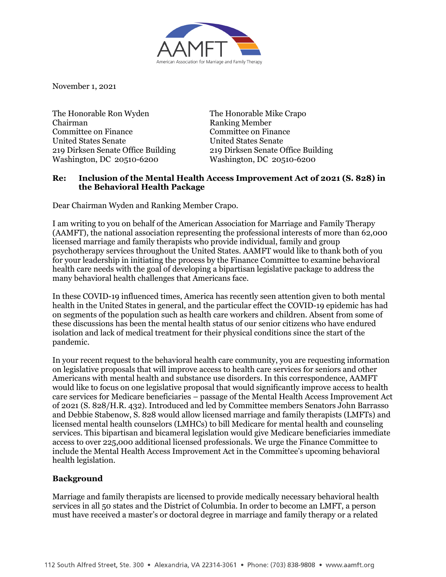

November 1, 2021

The Honorable Ron Wyden Chairman Committee on Finance United States Senate 219 Dirksen Senate Office Building Washington, DC 20510-6200

The Honorable Mike Crapo Ranking Member Committee on Finance United States Senate 219 Dirksen Senate Office Building Washington, DC 20510-6200

## **Re: Inclusion of the Mental Health Access Improvement Act of 2021 (S. 828) in the Behavioral Health Package**

Dear Chairman Wyden and Ranking Member Crapo.

I am writing to you on behalf of the American Association for Marriage and Family Therapy (AAMFT), the national association representing the professional interests of more than 62,000 licensed marriage and family therapists who provide individual, family and group psychotherapy services throughout the United States. AAMFT would like to thank both of you for your leadership in initiating the process by the Finance Committee to examine behavioral health care needs with the goal of developing a bipartisan legislative package to address the many behavioral health challenges that Americans face.

In these COVID-19 influenced times, America has recently seen attention given to both mental health in the United States in general, and the particular effect the COVID-19 epidemic has had on segments of the population such as health care workers and children. Absent from some of these discussions has been the mental health status of our senior citizens who have endured isolation and lack of medical treatment for their physical conditions since the start of the pandemic.

In your recent request to the behavioral health care community, you are requesting information on legislative proposals that will improve access to health care services for seniors and other Americans with mental health and substance use disorders. In this correspondence, AAMFT would like to focus on one legislative proposal that would significantly improve access to health care services for Medicare beneficiaries – passage of the Mental Health Access Improvement Act of 2021 (S. 828/H.R. 432). Introduced and led by Committee members Senators John Barrasso and Debbie Stabenow, S. 828 would allow licensed marriage and family therapists (LMFTs) and licensed mental health counselors (LMHCs) to bill Medicare for mental health and counseling services. This bipartisan and bicameral legislation would give Medicare beneficiaries immediate access to over 225,000 additional licensed professionals. We urge the Finance Committee to include the Mental Health Access Improvement Act in the Committee's upcoming behavioral health legislation.

## **Background**

Marriage and family therapists are licensed to provide medically necessary behavioral health services in all 50 states and the District of Columbia. In order to become an LMFT, a person must have received a master's or doctoral degree in marriage and family therapy or a related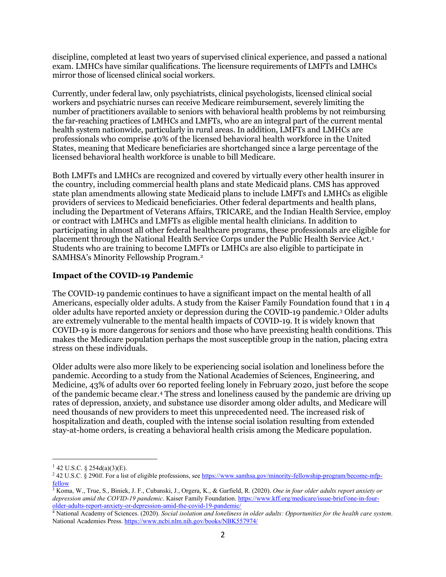discipline, completed at least two years of supervised clinical experience, and passed a national exam. LMHCs have similar qualifications. The licensure requirements of LMFTs and LMHCs mirror those of licensed clinical social workers.

Currently, under federal law, only psychiatrists, clinical psychologists, licensed clinical social workers and psychiatric nurses can receive Medicare reimbursement, severely limiting the number of practitioners available to seniors with behavioral health problems by not reimbursing the far-reaching practices of LMHCs and LMFTs, who are an integral part of the current mental health system nationwide, particularly in rural areas. In addition, LMFTs and LMHCs are professionals who comprise 40% of the licensed behavioral health workforce in the United States, meaning that Medicare beneficiaries are shortchanged since a large percentage of the licensed behavioral health workforce is unable to bill Medicare.

Both LMFTs and LMHCs are recognized and covered by virtually every other health insurer in the country, including commercial health plans and state Medicaid plans. CMS has approved state plan amendments allowing state Medicaid plans to include LMFTs and LMHCs as eligible providers of services to Medicaid beneficiaries. Other federal departments and health plans, including the Department of Veterans Affairs, TRICARE, and the Indian Health Service, employ or contract with LMHCs and LMFTs as eligible mental health clinicians. In addition to participating in almost all other federal healthcare programs, these professionals are eligible for placement through the National Health Service Corps under the Public Health Service Act.[1](#page-1-0) Students who are training to become LMFTs or LMHCs are also eligible to participate in SAMHSA's Minority Fellowship Program.[2](#page-1-1)

#### **Impact of the COVID-19 Pandemic**

The COVID-19 pandemic continues to have a significant impact on the mental health of all Americans, especially older adults. A study from the Kaiser Family Foundation found that 1 in 4 older adults have reported anxiety or depression during the COVID-19 pandemic.[3](#page-1-2) Older adults are extremely vulnerable to the mental health impacts of COVID-19. It is widely known that COVID-19 is more dangerous for seniors and those who have preexisting health conditions. This makes the Medicare population perhaps the most susceptible group in the nation, placing extra stress on these individuals.

Older adults were also more likely to be experiencing social isolation and loneliness before the pandemic. According to a study from the National Academies of Sciences, Engineering, and Medicine, 43% of adults over 60 reported feeling lonely in February 2020, just before the scope of the pandemic became clear[.4](#page-1-3) The stress and loneliness caused by the pandemic are driving up rates of depression, anxiety, and substance use disorder among older adults, and Medicare will need thousands of new providers to meet this unprecedented need. The increased risk of hospitalization and death, coupled with the intense social isolation resulting from extended stay-at-home orders, is creating a behavioral health crisis among the Medicare population.

<span id="page-1-0"></span> $1$  42 U.S.C. § 254d(a)(3)(E).

<span id="page-1-1"></span><sup>&</sup>lt;sup>2</sup> 42 U.S.C. § 290*ll*. For a list of eligible professions, see [https://www.samhsa.gov/minority-fellowship-program/become-mfp](https://www.samhsa.gov/minority-fellowship-program/become-mfp-fellow)[fellow](https://www.samhsa.gov/minority-fellowship-program/become-mfp-fellow)

<span id="page-1-2"></span><sup>3</sup> Koma, W., True, S., Biniek, J. F., Cubanski, J., Orgera, K., & Garfield, R. (2020). *One in four older adults report anxiety or depression amid the COVID-19 pandemic*. Kaiser Family Foundation. [https://www.kff.org/medicare/issue-brief/one-in-four](https://www.kff.org/medicare/issue-brief/one-in-four-older-adults-report-anxiety-or-depression-amid-the-covid-19-pandemic/)[older-adults-report-anxiety-or-depression-amid-the-covid-19-pandemic/](https://www.kff.org/medicare/issue-brief/one-in-four-older-adults-report-anxiety-or-depression-amid-the-covid-19-pandemic/)

<span id="page-1-3"></span><sup>4</sup> National Academy of Sciences. (2020). *Social isolation and loneliness in older adults: Opportunities for the health care system*. National Academies Press.<https://www.ncbi.nlm.nih.gov/books/NBK557974/>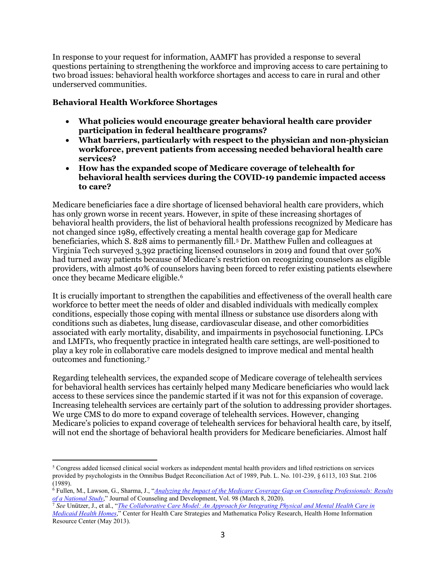In response to your request for information, AAMFT has provided a response to several questions pertaining to strengthening the workforce and improving access to care pertaining to two broad issues: behavioral health workforce shortages and access to care in rural and other underserved communities.

# **Behavioral Health Workforce Shortages**

- **What policies would encourage greater behavioral health care provider participation in federal healthcare programs?**
- **What barriers, particularly with respect to the physician and non-physician workforce, prevent patients from accessing needed behavioral health care services?**
- **How has the expanded scope of Medicare coverage of telehealth for behavioral health services during the COVID-19 pandemic impacted access to care?**

Medicare beneficiaries face a dire shortage of licensed behavioral health care providers, which has only grown worse in recent years. However, in spite of these increasing shortages of behavioral health providers, the list of behavioral health professions recognized by Medicare has not changed since 1989, effectively creating a mental health coverage gap for Medicare beneficiaries, which S. 828 aims to permanently fill.[5](#page-2-0) Dr. Matthew Fullen and colleagues at Virginia Tech surveyed 3,392 practicing licensed counselors in 2019 and found that over 50% had turned away patients because of Medicare's restriction on recognizing counselors as eligible providers, with almost 40% of counselors having been forced to refer existing patients elsewhere once they became Medicare eligible.[6](#page-2-1)

It is crucially important to strengthen the capabilities and effectiveness of the overall health care workforce to better meet the needs of older and disabled individuals with medically complex conditions, especially those coping with mental illness or substance use disorders along with conditions such as diabetes, lung disease, cardiovascular disease, and other comorbidities associated with early mortality, disability, and impairments in psychosocial functioning. LPCs and LMFTs, who frequently practice in integrated health care settings, are well-positioned to play a key role in collaborative care models designed to improve medical and mental health outcomes and functioning.[7](#page-2-2)

Regarding telehealth services, the expanded scope of Medicare coverage of telehealth services for behavioral health services has certainly helped many Medicare beneficiaries who would lack access to these services since the pandemic started if it was not for this expansion of coverage. Increasing telehealth services are certainly part of the solution to addressing provider shortages. We urge CMS to do more to expand coverage of telehealth services. However, changing Medicare's policies to expand coverage of telehealth services for behavioral health care, by itself, will not end the shortage of behavioral health providers for Medicare beneficiaries. Almost half

<span id="page-2-0"></span><sup>5</sup> Congress added licensed clinical social workers as independent mental health providers and lifted restrictions on services provided by psychologists in the Omnibus Budget Reconciliation Act of 1989, Pub. L. No. 101-239, § 6113, 103 Stat. 2106 (1989).

<span id="page-2-1"></span><sup>6</sup> Fullen, M., Lawson, G., Sharma, J., "*[Analyzing the Impact of the Medicare Coverage Gap on Counseling Professionals: Results](https://www.researchgate.net/publication/335455253_Analyzing_the_Impact_of_the_Medicare_Coverage_Gap_on_Counseling_Professionals_Results_of_a_National_Study)* 

<span id="page-2-2"></span><sup>&</sup>lt;sup>7</sup> See Unützer[,](https://www.researchgate.net/publication/335455253_Analyzing_the_Impact_of_the_Medicare_Coverage_Gap_on_Counseling_Professionals_Results_of_a_National_Study) J., et al., "The Collaborative Care Model: An Approach for Integrating Physical and Mental Health Care in *[Medicaid Health Homes](https://aims.uw.edu/sites/default/files/CMSBrief_2013.pdf)*," Center for Health Care Strategies and Mathematica Policy Research, Health Home Information Resource Center (May 2013).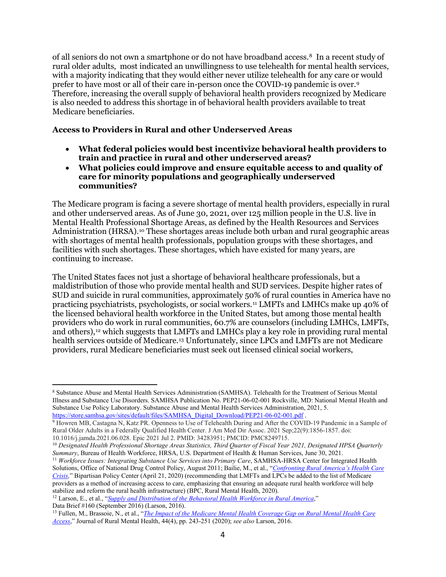of all seniors do not own a smartphone or do not have broadband access.[8](#page-3-0) In a recent study of rural older adults, most indicated an unwillingness to use telehealth for mental health services, with a majority indicating that they would either never utilize telehealth for any care or would prefer to have most or all of their care in-person once the COVID-19 pandemic is over.[9](#page-3-1) Therefore, increasing the overall supply of behavioral health providers recognized by Medicare is also needed to address this shortage in of behavioral health providers available to treat Medicare beneficiaries.

### **Access to Providers in Rural and other Underserved Areas**

- **What federal policies would best incentivize behavioral health providers to train and practice in rural and other underserved areas?**
- **What policies could improve and ensure equitable access to and quality of care for minority populations and geographically underserved communities?**

The Medicare program is facing a severe shortage of mental health providers, especially in rural and other underserved areas. As of June 30, 2021, over 125 million people in the U.S. live in Mental Health Professional Shortage Areas, as defined by the Health Resources and Services Administration (HRSA).<sup>[10](#page-3-2)</sup> These shortages areas include both urban and rural geographic areas with shortages of mental health professionals, population groups with these shortages, and facilities with such shortages. These shortages, which have existed for many years, are continuing to increase.

The United States faces not just a shortage of behavioral healthcare professionals, but a maldistribution of those who provide mental health and SUD services. Despite higher rates of SUD and suicide in rural communities, approximately 50% of rural counties in America have no practicing psychiatrists, psychologists, or social workers.[11](#page-3-3) LMFTs and LMHCs make up 40% of the licensed behavioral health workforce in the United States, but among those mental health providers who do work in rural communities, 60.7% are counselors (including LMHCs, LMFTs, and others),[12](#page-3-4) which suggests that LMFTs and LMHCs play a key role in providing rural mental health services outside of Medicare.[13](#page-3-5) Unfortunately, since LPCs and LMFTs are not Medicare providers, rural Medicare beneficiaries must seek out licensed clinical social workers,

<span id="page-3-3"></span><sup>11</sup> Workforce Issues: Integrating Substance Use Services into Primary Care, SAMHSA-HRSA Center for Integrated Health Solutions, Office of National Drug Control Policy, August 2011; Bailie, M., et al., "*Confronting Rural America's Health Care Crisis,*" Bipartisan Policy Center (April 21, 2020) (recommending that LMFTs and LPCs be added to the list of Medicare providers as a method of increasing access to care, emphasizing that ensuring an adequate rural health workforce will help stabilize and reform the rural health infrastructure) (BPC, Rural Mental Health, 2020).

<span id="page-3-4"></span><sup>12</sup> Larson, E., et al., "*[Supply and Distribution of the Behavioral Health Workforce in Rural America](https://depts.washington.edu/fammed/rhrc/wp-content/uploads/sites/4/2016/09/RHRC_DB160_Larson.pdf)*," Data Brief #160 (September 2016) (Larson, 2016).

<span id="page-3-0"></span><sup>8</sup> Substance Abuse and Mental Health Services Administration (SAMHSA). Telehealth for the Treatment of Serious Mental Illness and Substance Use Disorders. SAMHSA Publication No. PEP21-06-02-001 Rockville, MD: National Mental Health and Substance Use Policy Laboratory. Substance Abuse and Mental Health Services Administration, 2021, 5. [https://store.samhsa.gov/sites/default/files/SAMHSA\\_Digital\\_Download/PEP21-06-02-001.pdf](https://store.samhsa.gov/sites/default/files/SAMHSA_Digital_Download/PEP21-06-02-001.pdf) .

<span id="page-3-1"></span><sup>&</sup>lt;sup>9</sup> Howren MB, Castagna N, Katz PR. Openness to Use of Telehealth During and After the COVID-19 Pandemic in a Sample of Rural Older Adults in a Federally Qualified Health Center. J Am Med Dir Assoc. 2021 Sep;22(9):1856-1857. doi: 10.1016/j.jamda.2021.06.028. Epic 2021 Jul 2. PMID: 34283951; PMCID: PMC8249715.

<span id="page-3-2"></span><sup>10</sup> *Designated Health Professional Shortage Areas Statistics, Third Quarter of Fiscal Year 2021, Designated HPSA Quarterly Summary*, Bureau of Health Workforce, HRSA, U.S. Department of Health & Human Services, June 30, 2021.

<span id="page-3-5"></span><sup>13</sup> Fullen, M., Brassoie, N., et al., "*[The Impact of the Medicare Mental Health Coverage Gap on Rural Mental Health Care](https://psycnet.apa.org/record/2020-75725-002)  [Access](https://psycnet.apa.org/record/2020-75725-002)*," Journal of Rural Mental Health, 44(4), pp. 243-251 (2020); *see also* Larson, 2016.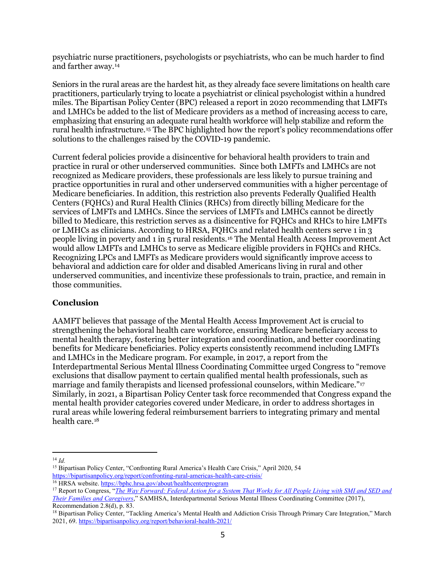psychiatric nurse practitioners, psychologists or psychiatrists, who can be much harder to find and farther away.[14](#page-4-0)

Seniors in the rural areas are the hardest hit, as they already face severe limitations on health care practitioners, particularly trying to locate a psychiatrist or clinical psychologist within a hundred miles. The Bipartisan Policy Center (BPC) released a report in 2020 recommending that LMFTs and LMHCs be added to the list of Medicare providers as a method of increasing access to care, emphasizing that ensuring an adequate rural health workforce will help stabilize and reform the rural health infrastructure[.15](#page-4-1) The BPC highlighted how the report's policy recommendations offer solutions to the challenges raised by the COVID-19 pandemic.

Current federal policies provide a disincentive for behavioral health providers to train and practice in rural or other underserved communities. Since both LMFTs and LMHCs are not recognized as Medicare providers, these professionals are less likely to pursue training and practice opportunities in rural and other underserved communities with a higher percentage of Medicare beneficiaries. In addition, this restriction also prevents Federally Qualified Health Centers (FQHCs) and Rural Health Clinics (RHCs) from directly billing Medicare for the services of LMFTs and LMHCs. Since the services of LMFTs and LMHCs cannot be directly billed to Medicare, this restriction serves as a disincentive for FQHCs and RHCs to hire LMFTs or LMHCs as clinicians. According to HRSA, FQHCs and related health centers serve 1 in 3 people living in poverty and 1 in 5 rural residents.[16](#page-4-2) The Mental Health Access Improvement Act would allow LMFTs and LMHCs to serve as Medicare eligible providers in FQHCs and RHCs. Recognizing LPCs and LMFTs as Medicare providers would significantly improve access to behavioral and addiction care for older and disabled Americans living in rural and other underserved communities, and incentivize these professionals to train, practice, and remain in those communities.

## **Conclusion**

AAMFT believes that passage of the Mental Health Access Improvement Act is crucial to strengthening the behavioral health care workforce, ensuring Medicare beneficiary access to mental health therapy, fostering better integration and coordination, and better coordinating benefits for Medicare beneficiaries. Policy experts consistently recommend including LMFTs and LMHCs in the Medicare program. For example, in 2017, a report from the Interdepartmental Serious Mental Illness Coordinating Committee urged Congress to "remove exclusions that disallow payment to certain qualified mental health professionals, such as marriage and family therapists and licensed professional counselors, within Medicare."[17](#page-4-3) Similarly, in 2021, a Bipartisan Policy Center task force recommended that Congress expand the mental health provider categories covered under Medicare, in order to address shortages in rural areas while lowering federal reimbursement barriers to integrating primary and mental health care.[18](#page-4-4)

<span id="page-4-0"></span><sup>14</sup> *Id.*

<span id="page-4-1"></span><sup>15</sup> Bipartisan Policy Center, "Confronting Rural America's Health Care Crisis," April 2020, 54 <https://bipartisanpolicy.org/report/confronting-rural-americas-health-care-crisis/>

<span id="page-4-2"></span><sup>&</sup>lt;sup>16</sup> HRSA website[. https://bphc.hrsa.gov/about/healthcenterprogram](https://bphc.hrsa.gov/about/healthcenterprogram)

<span id="page-4-3"></span><sup>17</sup> Report to Congress, "*[The Way Forward: Federal Action for a System That Works for All People Living with SMI and SED and](https://store.samhsa.gov/product/The-Way-Forward-Federal-Action-for-a-System-That-Works-for-All-People-Living-With-SMI-and-SED-and-Their-Families-and-Caregivers-Full-Report/PEP17-ISMICC-RTC)  [Their Families and Caregivers](https://store.samhsa.gov/product/The-Way-Forward-Federal-Action-for-a-System-That-Works-for-All-People-Living-With-SMI-and-SED-and-Their-Families-and-Caregivers-Full-Report/PEP17-ISMICC-RTC)*," SAMHSA, Interdepartmental Serious Mental Illness Coordinating Committee (2017), Recommendation 2.8(d), p. 83.

<span id="page-4-4"></span><sup>18</sup> Bipartisan Policy Center, "Tackling America's Mental Health and Addiction Crisis Through Primary Care Integration," March 2021, 69. <https://bipartisanpolicy.org/report/behavioral-health-2021/>